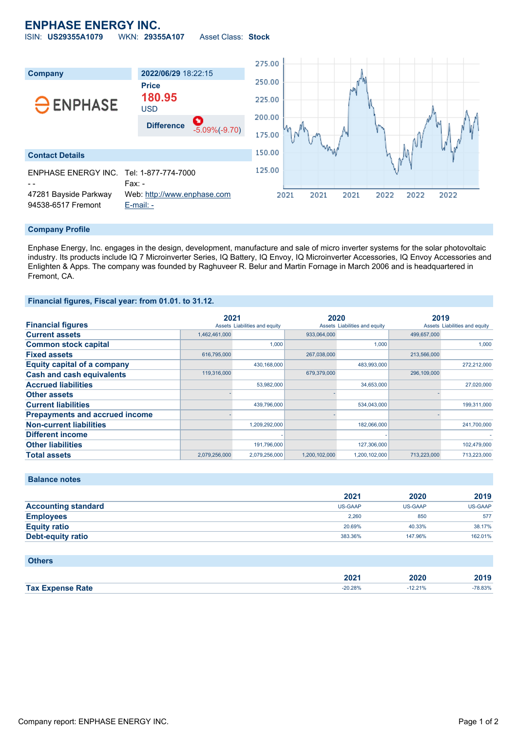## **ENPHASE ENERGY INC.**

ISIN: **US29355A1079** WKN: **29355A107** Asset Class: **Stock**



### **Company Profile**

Enphase Energy, Inc. engages in the design, development, manufacture and sale of micro inverter systems for the solar photovoltaic industry. Its products include IQ 7 Microinverter Series, IQ Battery, IQ Envoy, IQ Microinverter Accessories, IQ Envoy Accessories and Enlighten & Apps. The company was founded by Raghuveer R. Belur and Martin Fornage in March 2006 and is headquartered in Fremont, CA.

## **Financial figures, Fiscal year: from 01.01. to 31.12.**

|                                       | 2021          |                               | 2020          |                               | 2019        |                               |
|---------------------------------------|---------------|-------------------------------|---------------|-------------------------------|-------------|-------------------------------|
| <b>Financial figures</b>              |               | Assets Liabilities and equity |               | Assets Liabilities and equity |             | Assets Liabilities and equity |
| <b>Current assets</b>                 | 1,462,461,000 |                               | 933,064,000   |                               | 499,657,000 |                               |
| <b>Common stock capital</b>           |               | 1.000                         |               | 1.000                         |             | 1.000                         |
| <b>Fixed assets</b>                   | 616,795,000   |                               | 267,038,000   |                               | 213,566,000 |                               |
| <b>Equity capital of a company</b>    |               | 430,168,000                   |               | 483,993,000                   |             | 272,212,000                   |
| <b>Cash and cash equivalents</b>      | 119,316,000   |                               | 679,379,000   |                               | 296,109,000 |                               |
| <b>Accrued liabilities</b>            |               | 53,982,000                    |               | 34,653,000                    |             | 27,020,000                    |
| <b>Other assets</b>                   |               |                               |               |                               |             |                               |
| <b>Current liabilities</b>            |               | 439,796,000                   |               | 534,043,000                   |             | 199,311,000                   |
| <b>Prepayments and accrued income</b> |               |                               |               |                               |             |                               |
| <b>Non-current liabilities</b>        |               | 1,209,292,000                 |               | 182,066,000                   |             | 241,700,000                   |
| <b>Different income</b>               |               |                               |               |                               |             |                               |
| <b>Other liabilities</b>              |               | 191,796,000                   |               | 127,306,000                   |             | 102,479,000                   |
| <b>Total assets</b>                   | 2,079,256,000 | 2.079.256.000                 | 1.200.102.000 | 1.200.102.000                 | 713.223.000 | 713.223.000                   |

**Balance notes**

|                            | 2021           | 2020           | 2019    |
|----------------------------|----------------|----------------|---------|
| <b>Accounting standard</b> | <b>US-GAAP</b> | <b>US-GAAP</b> | US-GAAP |
| <b>Employees</b>           | 2.260          | 850            | 577     |
| <b>Equity ratio</b>        | 20.69%         | 40.33%         | 38.17%  |
| Debt-equity ratio          | 383.36%        | 147.96%        | 162.01% |

| <b>Others</b>           |           |           |         |
|-------------------------|-----------|-----------|---------|
|                         | 2021      | 2020      | 2019    |
| <b>Tax Expense Rate</b> | $-20.28%$ | $-12.21%$ | -78.83% |